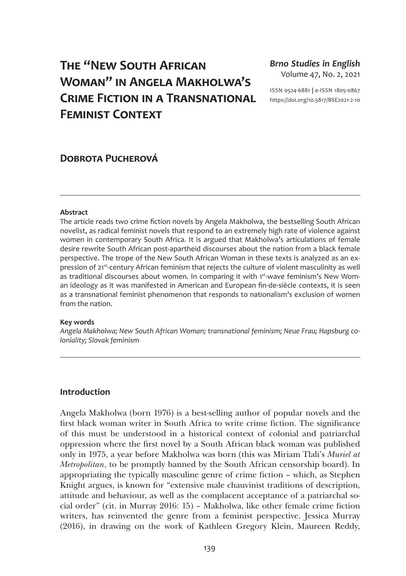# **The "New South African Woman" in Angela Makholwa's Crime Fiction in a Transnational Feminist Context**

## *Brno Studies in English* Volume 47, No. 2, 2021

ISSN 0524-6881 **|** e-ISSN 1805-0867 [https://doi.org/10.5817/BSE2021-2-1](https://doi.org/10.5817/BSE2021-2-10)0

## **Dobrota Pucherová**

#### **Abstract**

The article reads two crime fiction novels by Angela Makholwa, the bestselling South African novelist, as radical feminist novels that respond to an extremely high rate of violence against women in contemporary South Africa. It is argued that Makholwa's articulations of female desire rewrite South African post-apartheid discourses about the nation from a black female perspective. The trope of the New South African Woman in these texts is analyzed as an expression of 21<sup>st</sup>-century African feminism that rejects the culture of violent masculinity as well as traditional discourses about women. In comparing it with 1st-wave feminism's New Woman ideology as it was manifested in American and European fin-de-siècle contexts, it is seen as a transnational feminist phenomenon that responds to nationalism's exclusion of women from the nation.

#### **Key words**

*Angela Makholwa; New South African Woman; transnational feminism; Neue Frau; Hapsburg coloniality; Slovak feminism*

## **Introduction**

Angela Makholwa (born 1976) is a best-selling author of popular novels and the first black woman writer in South Africa to write crime fiction. The significance of this must be understood in a historical context of colonial and patriarchal oppression where the first novel by a South African black woman was published only in 1975, a year before Makholwa was born (this was Miriam Tlali's *Muriel at Metropolitan*, to be promptly banned by the South African censorship board). In appropriating the typically masculine genre of crime fiction – which, as Stephen Knight argues, is known for "extensive male chauvinist traditions of description, attitude and behaviour, as well as the complacent acceptance of a patriarchal social order" (cit. in Murray 2016: 15) – Makholwa, like other female crime fiction writers, has reinvented the genre from a feminist perspective. Jessica Murray (2016), in drawing on the work of Kathleen Gregory Klein, Maureen Reddy,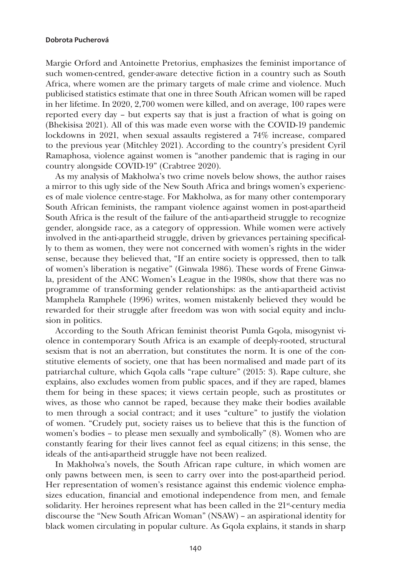Margie Orford and Antoinette Pretorius, emphasizes the feminist importance of such women-centred, gender-aware detective fiction in a country such as South Africa, where women are the primary targets of male crime and violence. Much publicised statistics estimate that one in three South African women will be raped in her lifetime. In 2020, 2,700 women were killed, and on average, 100 rapes were reported every day – but experts say that is just a fraction of what is going on (Bhekisisa 2021). All of this was made even worse with the COVID-19 pandemic lockdowns in 2021, when sexual assaults registered a 74% increase, compared to the previous year (Mitchley 2021). According to the country's president Cyril Ramaphosa, violence against women is "another pandemic that is raging in our country alongside COVID-19" (Crabtree 2020).

As my analysis of Makholwa's two crime novels below shows, the author raises a mirror to this ugly side of the New South Africa and brings women's experiences of male violence centre-stage. For Makholwa, as for many other contemporary South African feminists, the rampant violence against women in post-apartheid South Africa is the result of the failure of the anti-apartheid struggle to recognize gender, alongside race, as a category of oppression. While women were actively involved in the anti-apartheid struggle, driven by grievances pertaining specifically to them as women, they were not concerned with women's rights in the wider sense, because they believed that, "If an entire society is oppressed, then to talk of women's liberation is negative" (Ginwala 1986). These words of Frene Ginwala, president of the ANC Women's League in the 1980s, show that there was no programme of transforming gender relationships: as the anti-apartheid activist Mamphela Ramphele (1996) writes, women mistakenly believed they would be rewarded for their struggle after freedom was won with social equity and inclusion in politics.

According to the South African feminist theorist Pumla Gqola, misogynist violence in contemporary South Africa is an example of deeply-rooted, structural sexism that is not an aberration, but constitutes the norm. It is one of the constitutive elements of society, one that has been normalised and made part of its patriarchal culture, which Gqola calls "rape culture" (2015: 3). Rape culture, she explains, also excludes women from public spaces, and if they are raped, blames them for being in these spaces; it views certain people, such as prostitutes or wives, as those who cannot be raped, because they make their bodies available to men through a social contract; and it uses "culture" to justify the violation of women. "Crudely put, society raises us to believe that this is the function of women's bodies – to please men sexually and symbolically" (8). Women who are constantly fearing for their lives cannot feel as equal citizens; in this sense, the ideals of the anti-apartheid struggle have not been realized.

In Makholwa's novels, the South African rape culture, in which women are only pawns between men, is seen to carry over into the post-apartheid period. Her representation of women's resistance against this endemic violence emphasizes education, financial and emotional independence from men, and female solidarity. Her heroines represent what has been called in the 21<sup>st</sup>-century media discourse the "New South African Woman" (NSAW) – an aspirational identity for black women circulating in popular culture. As Gqola explains, it stands in sharp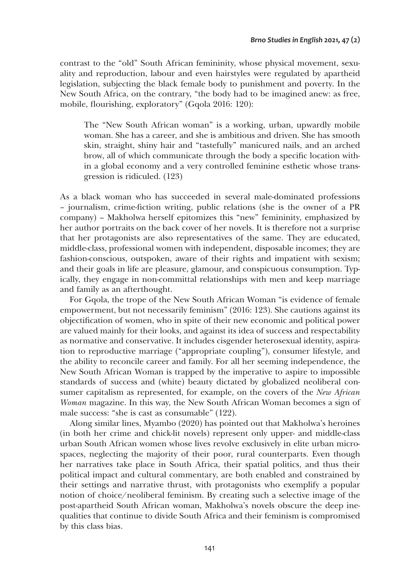contrast to the "old" South African femininity, whose physical movement, sexuality and reproduction, labour and even hairstyles were regulated by apartheid legislation, subjecting the black female body to punishment and poverty. In the New South Africa, on the contrary, "the body had to be imagined anew: as free, mobile, flourishing, exploratory" (Gqola 2016: 120):

The "New South African woman" is a working, urban, upwardly mobile woman. She has a career, and she is ambitious and driven. She has smooth skin, straight, shiny hair and "tastefully" manicured nails, and an arched brow, all of which communicate through the body a specific location within a global economy and a very controlled feminine esthetic whose transgression is ridiculed. (123)

As a black woman who has succeeded in several male-dominated professions – journalism, crime-fiction writing, public relations (she is the owner of a PR company) – Makholwa herself epitomizes this "new" femininity, emphasized by her author portraits on the back cover of her novels. It is therefore not a surprise that her protagonists are also representatives of the same. They are educated, middle-class, professional women with independent, disposable incomes; they are fashion-conscious, outspoken, aware of their rights and impatient with sexism; and their goals in life are pleasure, glamour, and conspicuous consumption. Typically, they engage in non-committal relationships with men and keep marriage and family as an afterthought.

For Gqola, the trope of the New South African Woman "is evidence of female empowerment, but not necessarily feminism" (2016: 123). She cautions against its objectification of women, who in spite of their new economic and political power are valued mainly for their looks, and against its idea of success and respectability as normative and conservative. It includes cisgender heterosexual identity, aspiration to reproductive marriage ("appropriate coupling"), consumer lifestyle, and the ability to reconcile career and family. For all her seeming independence, the New South African Woman is trapped by the imperative to aspire to impossible standards of success and (white) beauty dictated by globalized neoliberal consumer capitalism as represented, for example, on the covers of the *New African Woman* magazine. In this way, the New South African Woman becomes a sign of male success: "she is cast as consumable" (122).

Along similar lines, Myambo (2020) has pointed out that Makholwa's heroines (in both her crime and chick-lit novels) represent only upper- and middle-class urban South African women whose lives revolve exclusively in elite urban microspaces, neglecting the majority of their poor, rural counterparts. Even though her narratives take place in South Africa, their spatial politics, and thus their political impact and cultural commentary, are both enabled and constrained by their settings and narrative thrust, with protagonists who exemplify a popular notion of choice/neoliberal feminism. By creating such a selective image of the post-apartheid South African woman, Makholwa's novels obscure the deep inequalities that continue to divide South Africa and their feminism is compromised by this class bias.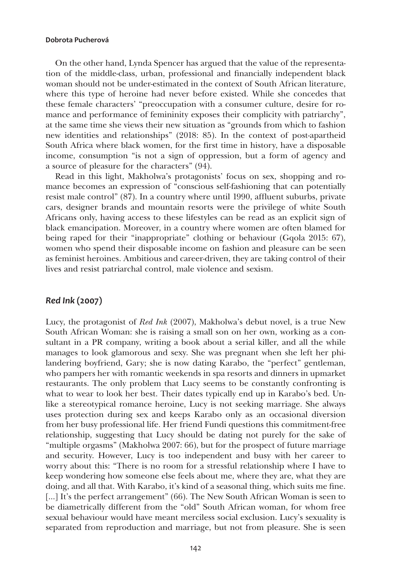On the other hand, Lynda Spencer has argued that the value of the representation of the middle-class, urban, professional and financially independent black woman should not be under-estimated in the context of South African literature, where this type of heroine had never before existed. While she concedes that these female characters' "preoccupation with a consumer culture, desire for romance and performance of femininity exposes their complicity with patriarchy", at the same time she views their new situation as "grounds from which to fashion new identities and relationships" (2018: 85). In the context of post-apartheid South Africa where black women, for the first time in history, have a disposable income, consumption "is not a sign of oppression, but a form of agency and a source of pleasure for the characters" (94).

Read in this light, Makholwa's protagonists' focus on sex, shopping and romance becomes an expression of "conscious self-fashioning that can potentially resist male control" (87). In a country where until 1990, affluent suburbs, private cars, designer brands and mountain resorts were the privilege of white South Africans only, having access to these lifestyles can be read as an explicit sign of black emancipation. Moreover, in a country where women are often blamed for being raped for their "inappropriate" clothing or behaviour (Gqola 2015: 67), women who spend their disposable income on fashion and pleasure can be seen as feminist heroines. Ambitious and career-driven, they are taking control of their lives and resist patriarchal control, male violence and sexism.

## *Red Ink* **(2007)**

Lucy, the protagonist of *Red Ink* (2007), Makholwa's debut novel, is a true New South African Woman: she is raising a small son on her own, working as a consultant in a PR company, writing a book about a serial killer, and all the while manages to look glamorous and sexy. She was pregnant when she left her philandering boyfriend, Gary; she is now dating Karabo, the "perfect" gentleman, who pampers her with romantic weekends in spa resorts and dinners in upmarket restaurants. The only problem that Lucy seems to be constantly confronting is what to wear to look her best. Their dates typically end up in Karabo's bed. Unlike a stereotypical romance heroine, Lucy is not seeking marriage. She always uses protection during sex and keeps Karabo only as an occasional diversion from her busy professional life. Her friend Fundi questions this commitment-free relationship, suggesting that Lucy should be dating not purely for the sake of "multiple orgasms" (Makholwa 2007: 66), but for the prospect of future marriage and security. However, Lucy is too independent and busy with her career to worry about this: "There is no room for a stressful relationship where I have to keep wondering how someone else feels about me, where they are, what they are doing, and all that. With Karabo, it's kind of a seasonal thing, which suits me fine. [...] It's the perfect arrangement" (66). The New South African Woman is seen to be diametrically different from the "old" South African woman, for whom free sexual behaviour would have meant merciless social exclusion. Lucy's sexuality is separated from reproduction and marriage, but not from pleasure. She is seen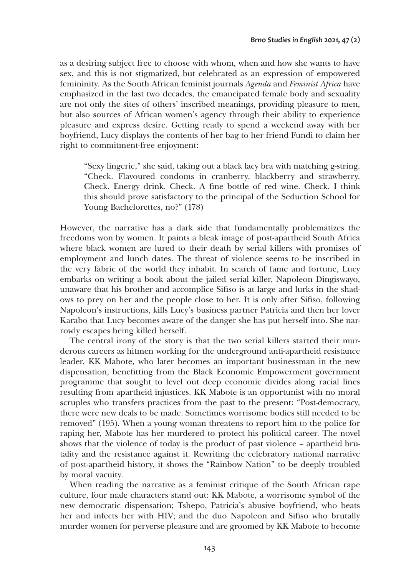as a desiring subject free to choose with whom, when and how she wants to have sex, and this is not stigmatized, but celebrated as an expression of empowered femininity. As the South African feminist journals *Agenda* and *Feminist Africa* have emphasized in the last two decades, the emancipated female body and sexuality are not only the sites of others' inscribed meanings, providing pleasure to men, but also sources of African women's agency through their ability to experience pleasure and express desire. Getting ready to spend a weekend away with her boyfriend, Lucy displays the contents of her bag to her friend Fundi to claim her right to commitment-free enjoyment:

"Sexy lingerie," she said, taking out a black lacy bra with matching g-string. "Check. Flavoured condoms in cranberry, blackberry and strawberry. Check. Energy drink. Check. A fine bottle of red wine. Check. I think this should prove satisfactory to the principal of the Seduction School for Young Bachelorettes, no?" (178)

However, the narrative has a dark side that fundamentally problematizes the freedoms won by women. It paints a bleak image of post-apartheid South Africa where black women are lured to their death by serial killers with promises of employment and lunch dates. The threat of violence seems to be inscribed in the very fabric of the world they inhabit. In search of fame and fortune, Lucy embarks on writing a book about the jailed serial killer, Napoleon Dingiswayo, unaware that his brother and accomplice Sifiso is at large and lurks in the shadows to prey on her and the people close to her. It is only after Sifiso, following Napoleon's instructions, kills Lucy's business partner Patricia and then her lover Karabo that Lucy becomes aware of the danger she has put herself into. She narrowly escapes being killed herself.

The central irony of the story is that the two serial killers started their murderous careers as hitmen working for the underground anti-apartheid resistance leader, KK Mabote, who later becomes an important businessman in the new dispensation, benefitting from the Black Economic Empowerment government programme that sought to level out deep economic divides along racial lines resulting from apartheid injustices. KK Mabote is an opportunist with no moral scruples who transfers practices from the past to the present: "Post-democracy, there were new deals to be made. Sometimes worrisome bodies still needed to be removed" (195). When a young woman threatens to report him to the police for raping her, Mabote has her murdered to protect his political career. The novel shows that the violence of today is the product of past violence – apartheid brutality and the resistance against it. Rewriting the celebratory national narrative of post-apartheid history, it shows the "Rainbow Nation" to be deeply troubled by moral vacuity.

When reading the narrative as a feminist critique of the South African rape culture, four male characters stand out: KK Mabote, a worrisome symbol of the new democratic dispensation; Tshepo, Patricia's abusive boyfriend, who beats her and infects her with HIV; and the duo Napoleon and Sifiso who brutally murder women for perverse pleasure and are groomed by KK Mabote to become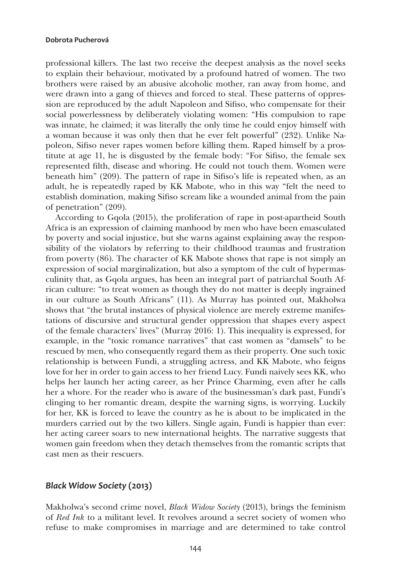professional killers. The last two receive the deepest analysis as the novel seeks to explain their behaviour, motivated by a profound hatred of women. The two brothers were raised by an abusive alcoholic mother, ran away from home, and were drawn into a gang of thieves and forced to steal. These patterns of oppression are reproduced by the adult Napoleon and Sifiso, who compensate for their social powerlessness by deliberately violating women: "His compulsion to rape was innate, he claimed; it was literally the only time he could enjoy himself with a woman because it was only then that he ever felt powerful" (232). Unlike Napoleon, Sifiso never rapes women before killing them. Raped himself by a prostitute at age 11, he is disgusted by the female body: "For Sifiso, the female sex represented filth, disease and whoring. He could not touch them. Women were beneath him" (209). The pattern of rape in Sifiso's life is repeated when, as an adult, he is repeatedly raped by KK Mabote, who in this way "felt the need to establish domination, making Sifiso scream like a wounded animal from the pain of penetration" (209).

According to Gqola (2015), the proliferation of rape in post-apartheid South Africa is an expression of claiming manhood by men who have been emasculated by poverty and social injustice, but she warns against explaining away the responsibility of the violators by referring to their childhood traumas and frustration from poverty (86). The character of KK Mabote shows that rape is not simply an expression of social marginalization, but also a symptom of the cult of hypermasculinity that, as Gqola argues, has been an integral part of patriarchal South African culture: "to treat women as though they do not matter is deeply ingrained in our culture as South Africans" (11). As Murray has pointed out, Makholwa shows that "the brutal instances of physical violence are merely extreme manifestations of discursive and structural gender oppression that shapes every aspect of the female characters' lives" (Murray 2016: 1). This inequality is expressed, for example, in the "toxic romance narratives" that cast women as "damsels" to be rescued by men, who consequently regard them as their property. One such toxic relationship is between Fundi, a struggling actress, and KK Mabote, who feigns love for her in order to gain access to her friend Lucy. Fundi naively sees KK, who helps her launch her acting career, as her Prince Charming, even after he calls her a whore. For the reader who is aware of the businessman's dark past, Fundi's clinging to her romantic dream, despite the warning signs, is worrying. Luckily for her, KK is forced to leave the country as he is about to be implicated in the murders carried out by the two killers. Single again, Fundi is happier than ever: her acting career soars to new international heights. The narrative suggests that women gain freedom when they detach themselves from the romantic scripts that cast men as their rescuers.

## *Black Widow Society* **(2013)**

Makholwa's second crime novel, *Black Widow Society* (2013), brings the feminism of *Red Ink* to a militant level. It revolves around a secret society of women who refuse to make compromises in marriage and are determined to take control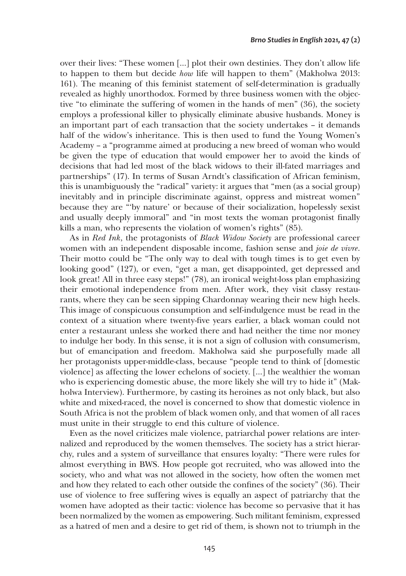over their lives: "These women […] plot their own destinies. They don't allow life to happen to them but decide *how* life will happen to them" (Makholwa 2013: 161). The meaning of this feminist statement of self-determination is gradually revealed as highly unorthodox. Formed by three business women with the objective "to eliminate the suffering of women in the hands of men" (36), the society employs a professional killer to physically eliminate abusive husbands. Money is an important part of each transaction that the society undertakes – it demands half of the widow's inheritance. This is then used to fund the Young Women's Academy – a "programme aimed at producing a new breed of woman who would be given the type of education that would empower her to avoid the kinds of decisions that had led most of the black widows to their ill-fated marriages and partnerships" (17). In terms of Susan Arndt's classification of African feminism, this is unambiguously the "radical" variety: it argues that "men (as a social group) inevitably and in principle discriminate against, oppress and mistreat women" because they are "'by nature' or because of their socialization, hopelessly sexist and usually deeply immoral" and "in most texts the woman protagonist finally kills a man, who represents the violation of women's rights" (85).

As in *Red Ink*, the protagonists of *Black Widow Society* are professional career women with an independent disposable income, fashion sense and *joie de vivre*. Their motto could be "The only way to deal with tough times is to get even by looking good" (127), or even, "get a man, get disappointed, get depressed and look great! All in three easy steps!" (78), an ironical weight-loss plan emphasizing their emotional independence from men. After work, they visit classy restaurants, where they can be seen sipping Chardonnay wearing their new high heels. This image of conspicuous consumption and self-indulgence must be read in the context of a situation where twenty-five years earlier, a black woman could not enter a restaurant unless she worked there and had neither the time nor money to indulge her body. In this sense, it is not a sign of collusion with consumerism, but of emancipation and freedom. Makholwa said she purposefully made all her protagonists upper-middle-class, because "people tend to think of [domestic violence] as affecting the lower echelons of society. […] the wealthier the woman who is experiencing domestic abuse, the more likely she will try to hide it" (Makholwa Interview). Furthermore, by casting its heroines as not only black, but also white and mixed-raced, the novel is concerned to show that domestic violence in South Africa is not the problem of black women only, and that women of all races must unite in their struggle to end this culture of violence.

Even as the novel criticizes male violence, patriarchal power relations are internalized and reproduced by the women themselves. The society has a strict hierarchy, rules and a system of surveillance that ensures loyalty: "There were rules for almost everything in BWS. How people got recruited, who was allowed into the society, who and what was not allowed in the society, how often the women met and how they related to each other outside the confines of the society" (36). Their use of violence to free suffering wives is equally an aspect of patriarchy that the women have adopted as their tactic: violence has become so pervasive that it has been normalized by the women as empowering. Such militant feminism, expressed as a hatred of men and a desire to get rid of them, is shown not to triumph in the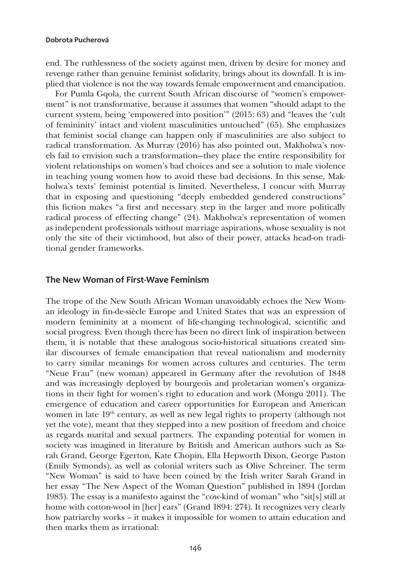end. The ruthlessness of the society against men, driven by desire for money and revenge rather than genuine feminist solidarity, brings about its downfall. It is implied that violence is not the way towards female empowerment and emancipation.

For Pumla Gqola, the current South African discourse of "women's empowerment" is not transformative, because it assumes that women "should adapt to the current system, being 'empowered into position'" (2015: 63) and "leaves the 'cult of femininity' intact and violent masculinities untouched" (65). She emphasizes that feminist social change can happen only if masculinities are also subject to radical transformation. As Murray (2016) has also pointed out, Makholwa's novels fail to envision such a transformation—they place the entire responsibility for violent relationships on women's bad choices and see a solution to male violence in teaching young women how to avoid these bad decisions. In this sense, Makholwa's texts' feminist potential is limited. Nevertheless, I concur with Murray that in exposing and questioning "deeply embedded gendered constructions" this fiction makes "a first and necessary step in the larger and more politically radical process of effecting change" (24). Makholwa's representation of women as independent professionals without marriage aspirations, whose sexuality is not only the site of their victimhood, but also of their power, attacks head-on traditional gender frameworks.

## **The New Woman of First-Wave Feminism**

The trope of the New South African Woman unavoidably echoes the New Woman ideology in fin-de-siècle Europe and United States that was an expression of modern femininity at a moment of life-changing technological, scientific and social progress. Even though there has been no direct link of inspiration between them, it is notable that these analogous socio-historical situations created similar discourses of female emancipation that reveal nationalism and modernity to carry similar meanings for women across cultures and centuries. The term "Neue Frau" (new woman) appeared in Germany after the revolution of 1848 and was increasingly deployed by bourgeois and proletarian women's organizations in their fight for women's right to education and work (Mongu 2011). The emergence of education and career opportunities for European and American women in late  $19<sup>th</sup>$  century, as well as new legal rights to property (although not yet the vote), meant that they stepped into a new position of freedom and choice as regards marital and sexual partners. The expanding potential for women in society was imagined in literature by British and American authors such as Sarah Grand, George Egerton, Kate Chopin, Ella Hepworth Dixon, George Paston (Emily Symonds), as well as colonial writers such as Olive Schreiner. The term "New Woman" is said to have been coined by the Irish writer Sarah Grand in her essay "The New Aspect of the Woman Question" published in 1894 (Jordan 1983). The essay is a manifesto against the "cow-kind of woman" who "sit[s] still at home with cotton-wool in [her] ears" (Grand 1894: 274). It recognizes very clearly how patriarchy works – it makes it impossible for women to attain education and then marks them as irrational: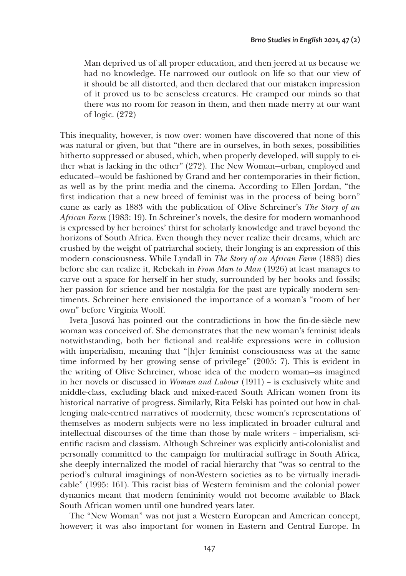Man deprived us of all proper education, and then jeered at us because we had no knowledge. He narrowed our outlook on life so that our view of it should be all distorted, and then declared that our mistaken impression of it proved us to be senseless creatures. He cramped our minds so that there was no room for reason in them, and then made merry at our want of logic. (272)

This inequality, however, is now over: women have discovered that none of this was natural or given, but that "there are in ourselves, in both sexes, possibilities hitherto suppressed or abused, which, when properly developed, will supply to either what is lacking in the other" (272). The New Woman—urban, employed and educated—would be fashioned by Grand and her contemporaries in their fiction, as well as by the print media and the cinema. According to Ellen Jordan, "the first indication that a new breed of feminist was in the process of being born" came as early as 1883 with the publication of Olive Schreiner's *The Story of an African Farm* (1983: 19). In Schreiner's novels, the desire for modern womanhood is expressed by her heroines' thirst for scholarly knowledge and travel beyond the horizons of South Africa. Even though they never realize their dreams, which are crushed by the weight of patriarchal society, their longing is an expression of this modern consciousness. While Lyndall in *The Story of an African Farm* (1883) dies before she can realize it, Rebekah in *From Man to Man* (1926) at least manages to carve out a space for herself in her study, surrounded by her books and fossils; her passion for science and her nostalgia for the past are typically modern sentiments. Schreiner here envisioned the importance of a woman's "room of her own" before Virginia Woolf.

Iveta Jusová has pointed out the contradictions in how the fin-de-siècle new woman was conceived of. She demonstrates that the new woman's feminist ideals notwithstanding, both her fictional and real-life expressions were in collusion with imperialism, meaning that "[h]er feminist consciousness was at the same time informed by her growing sense of privilege" (2005: 7). This is evident in the writing of Olive Schreiner, whose idea of the modern woman—as imagined in her novels or discussed in *Woman and Labour* (1911) – is exclusively white and middle-class, excluding black and mixed-raced South African women from its historical narrative of progress. Similarly, Rita Felski has pointed out how in challenging male-centred narratives of modernity, these women's representations of themselves as modern subjects were no less implicated in broader cultural and intellectual discourses of the time than those by male writers – imperialism, scientific racism and classism. Although Schreiner was explicitly anti-colonialist and personally committed to the campaign for multiracial suffrage in South Africa, she deeply internalized the model of racial hierarchy that "was so central to the period's cultural imaginings of non-Western societies as to be virtually ineradicable" (1995: 161). This racist bias of Western feminism and the colonial power dynamics meant that modern femininity would not become available to Black South African women until one hundred years later.

The "New Woman" was not just a Western European and American concept, however; it was also important for women in Eastern and Central Europe. In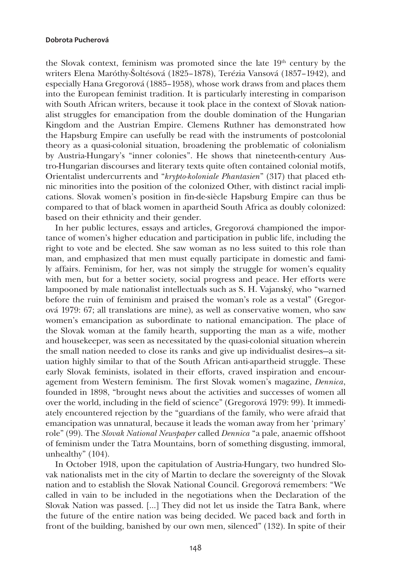the Slovak context, feminism was promoted since the late  $19<sup>th</sup>$  century by the writers Elena Maróthy-Šoltésová (1825–1878), Terézia Vansová (1857–1942), and especially Hana Gregorová (1885–1958), whose work draws from and places them into the European feminist tradition. It is particularly interesting in comparison with South African writers, because it took place in the context of Slovak nationalist struggles for emancipation from the double domination of the Hungarian Kingdom and the Austrian Empire. Clemens Ruthner has demonstrated how the Hapsburg Empire can usefully be read with the instruments of postcolonial theory as a quasi-colonial situation, broadening the problematic of colonialism by Austria-Hungary's "inner colonies". He shows that nineteenth-century Austro-Hungarian discourses and literary texts quite often contained colonial motifs, Orientalist undercurrents and "*krypto-koloniale Phantasien*" (317) that placed ethnic minorities into the position of the colonized Other, with distinct racial implications. Slovak women's position in fin-de-siècle Hapsburg Empire can thus be compared to that of black women in apartheid South Africa as doubly colonized: based on their ethnicity and their gender.

In her public lectures, essays and articles, Gregorová championed the importance of women's higher education and participation in public life, including the right to vote and be elected. She saw woman as no less suited to this role than man, and emphasized that men must equally participate in domestic and family affairs. Feminism, for her, was not simply the struggle for women's equality with men, but for a better society, social progress and peace. Her efforts were lampooned by male nationalist intellectuals such as S. H. Vajanský, who "warned before the ruin of feminism and praised the woman's role as a vestal" (Gregorová 1979: 67; all translations are mine), as well as conservative women, who saw women's emancipation as subordinate to national emancipation. The place of the Slovak woman at the family hearth, supporting the man as a wife, mother and housekeeper, was seen as necessitated by the quasi-colonial situation wherein the small nation needed to close its ranks and give up individualist desires—a situation highly similar to that of the South African anti-apartheid struggle. These early Slovak feminists, isolated in their efforts, craved inspiration and encouragement from Western feminism. The first Slovak women's magazine, *Dennica*, founded in 1898, "brought news about the activities and successes of women all over the world, including in the field of science" (Gregorová 1979: 99). It immediately encountered rejection by the "guardians of the family, who were afraid that emancipation was unnatural, because it leads the woman away from her 'primary' role" (99). The *Slovak National Newspaper* called *Dennica* "a pale, anaemic offshoot of feminism under the Tatra Mountains, born of something disgusting, immoral, unhealthy" (104).

In October 1918, upon the capitulation of Austria-Hungary, two hundred Slovak nationalists met in the city of Martin to declare the sovereignty of the Slovak nation and to establish the Slovak National Council. Gregorová remembers: "We called in vain to be included in the negotiations when the Declaration of the Slovak Nation was passed. […] They did not let us inside the Tatra Bank, where the future of the entire nation was being decided. We paced back and forth in front of the building, banished by our own men, silenced" (132). In spite of their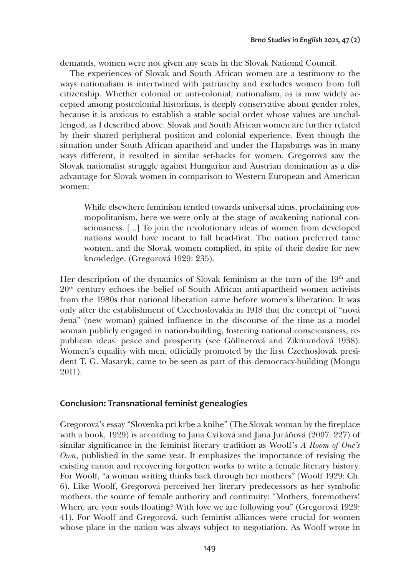demands, women were not given any seats in the Slovak National Council.

The experiences of Slovak and South African women are a testimony to the ways nationalism is intertwined with patriarchy and excludes women from full citizenship. Whether colonial or anti-colonial, nationalism, as is now widely accepted among postcolonial historians, is deeply conservative about gender roles, because it is anxious to establish a stable social order whose values are unchallenged, as I described above. Slovak and South African women are further related by their shared peripheral position and colonial experience. Even though the situation under South African apartheid and under the Hapsburgs was in many ways different, it resulted in similar set-backs for women. Gregorová saw the Slovak nationalist struggle against Hungarian and Austrian domination as a disadvantage for Slovak women in comparison to Western European and American women:

While elsewhere feminism tended towards universal aims, proclaiming cosmopolitanism, here we were only at the stage of awakening national consciousness. […] To join the revolutionary ideas of women from developed nations would have meant to fall head-first. The nation preferred tame women, and the Slovak women complied, in spite of their desire for new knowledge. (Gregorová 1929: 235).

Her description of the dynamics of Slovak feminism at the turn of the 19<sup>th</sup> and  $20<sup>th</sup>$  century echoes the belief of South African anti-apartheid women activists from the 1980s that national liberation came before women's liberation. It was only after the establishment of Czechoslovakia in 1918 that the concept of "nová žena" (new woman) gained influence in the discourse of the time as a model woman publicly engaged in nation-building, fostering national consciousness, republican ideas, peace and prosperity (see Göllnerová and Zikmundová 1938). Women's equality with men, officially promoted by the first Czechoslovak president T. G. Masaryk, came to be seen as part of this democracy-building (Mongu 2011).

## **Conclusion: Transnational feminist genealogies**

Gregorová's essay "Slovenka pri krbe a knihe" (The Slovak woman by the fireplace with a book, 1929) is according to Jana Cviková and Jana Juráňová (2007: 227) of similar significance in the feminist literary tradition as Woolf's *A Room of One's Own*, published in the same year. It emphasizes the importance of revising the existing canon and recovering forgotten works to write a female literary history. For Woolf, "a woman writing thinks back through her mothers" (Woolf 1929: Ch. 6). Like Woolf, Gregorová perceived her literary predecessors as her symbolic mothers, the source of female authority and continuity: "Mothers, foremothers! Where are your souls floating? With love we are following you" (Gregorová 1929: 41). For Woolf and Gregorová, such feminist alliances were crucial for women whose place in the nation was always subject to negotiation. As Woolf wrote in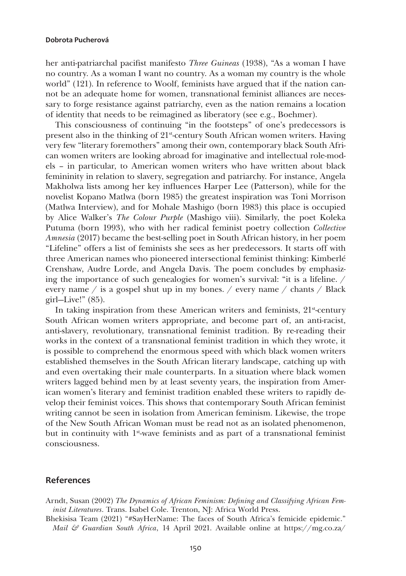her anti-patriarchal pacifist manifesto *Three Guineas* (1938), "As a woman I have no country. As a woman I want no country. As a woman my country is the whole world" (121). In reference to Woolf, feminists have argued that if the nation cannot be an adequate home for women, transnational feminist alliances are necessary to forge resistance against patriarchy, even as the nation remains a location of identity that needs to be reimagined as liberatory (see e.g., Boehmer).

This consciousness of continuing "in the footsteps" of one's predecessors is present also in the thinking of 21st-century South African women writers. Having very few "literary foremothers" among their own, contemporary black South African women writers are looking abroad for imaginative and intellectual role-models – in particular, to American women writers who have written about black femininity in relation to slavery, segregation and patriarchy. For instance, Angela Makholwa lists among her key influences Harper Lee (Patterson), while for the novelist Kopano Matlwa (born 1985) the greatest inspiration was Toni Morrison (Matlwa Interview), and for Mohale Mashigo (born 1983) this place is occupied by Alice Walker's *The Colour Purple* (Mashigo viii). Similarly, the poet Koleka Putuma (born 1993), who with her radical feminist poetry collection *Collective Amnesia* (2017) became the best-selling poet in South African history, in her poem "Lifeline" offers a list of feminists she sees as her predecessors. It starts off with three American names who pioneered intersectional feminist thinking: Kimberlé Crenshaw, Audre Lorde, and Angela Davis. The poem concludes by emphasizing the importance of such genealogies for women's survival: "it is a lifeline. / every name / is a gospel shut up in my bones. / every name / chants / Black  $\chi$ girl—Live!" (85).

In taking inspiration from these American writers and feminists,  $21<sup>st</sup>$ -century South African women writers appropriate, and become part of, an anti-racist, anti-slavery, revolutionary, transnational feminist tradition. By re-reading their works in the context of a transnational feminist tradition in which they wrote, it is possible to comprehend the enormous speed with which black women writers established themselves in the South African literary landscape, catching up with and even overtaking their male counterparts. In a situation where black women writers lagged behind men by at least seventy years, the inspiration from American women's literary and feminist tradition enabled these writers to rapidly develop their feminist voices. This shows that contemporary South African feminist writing cannot be seen in isolation from American feminism. Likewise, the trope of the New South African Woman must be read not as an isolated phenomenon, but in continuity with 1st-wave feminists and as part of a transnational feminist consciousness.

## **References**

- Arndt, Susan (2002) *The Dynamics of African Feminism: Defining and Classifying African Feminist Literatures*. Trans. Isabel Cole. Trenton, NJ: Africa World Press.
- Bhekisisa Team (2021) "#SayHerName: The faces of South Africa's femicide epidemic." *Mail & Guardian South Africa*, 14 April 2021. Available online at [https://mg.co.za/](https://mg.co.za/health/2021-04-14-sayhername-the-faces-of-south-africas-femicide-epidemic/)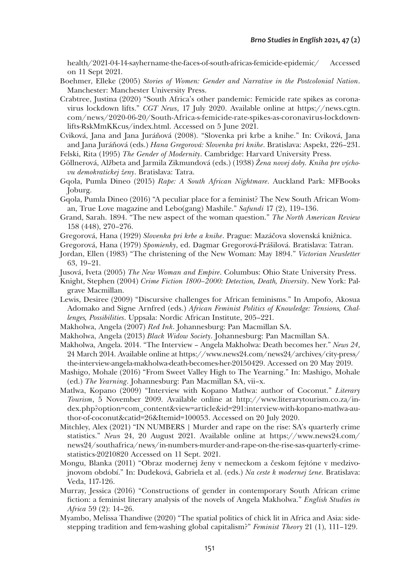[health/2021-04-14-sayhername-the-faces-of-south-africas-femicide-epidemic/](https://mg.co.za/health/2021-04-14-sayhername-the-faces-of-south-africas-femicide-epidemic/) Accessed on 11 Sept 2021.

- Boehmer, Elleke (2005) *Stories of Women: Gender and Narrative in the Postcolonial Nation*. Manchester: Manchester University Press.
- Crabtree, Justina (2020) "South Africa's other pandemic: Femicide rate spikes as coronavirus lockdown lifts." *CGT News*, 17 July 2020. Available online at [https://news.cgtn.](https://news.cgtn.com/news/2020-06-20/South-Africa-s-femicide-rate-spikes-as-coronavirus-lockdown-lifts-RskMmKKcus/index.html) [com/news/2020-06-20/South-Africa-s-femicide-rate-spikes-as-coronavirus-lockdown](https://news.cgtn.com/news/2020-06-20/South-Africa-s-femicide-rate-spikes-as-coronavirus-lockdown-lifts-RskMmKKcus/index.html)[lifts-RskMmKKcus/index.html.](https://news.cgtn.com/news/2020-06-20/South-Africa-s-femicide-rate-spikes-as-coronavirus-lockdown-lifts-RskMmKKcus/index.html) Accessed on 5 June 2021.
- Cviková, Jana and Jana Juráňová (2008). "Slovenka pri krbe a knihe." In: Cviková, Jana and Jana Juráňová (eds.) *Hana Gregorová: Slovenka pri knihe*. Bratislava: Aspekt, 226–231. Felski, Rita (1995) *The Gender of Modernity*. Cambridge: Harvard University Press.
- Göllnerová, Alžbeta and Jarmila Zikmundová (eds.) (1938) *Žena novej doby. Kniha pre výchovu demokratickej ženy*. Bratislava: Tatra.
- Gqola, Pumla Dineo (2015) *Rape: A South African Nightmare*. Auckland Park: MFBooks Joburg.
- Gqola, Pumla Dineo (2016) "A peculiar place for a feminist? The New South African Woman, True Love magazine and Lebo(gang) Mashile." *Safundi* 17 (2), 119–136.
- Grand, Sarah. 1894. "The new aspect of the woman question." *The North American Review* 158 (448), 270–276.
- Gregorová, Hana (1929) *Slovenka pri krbe a knihe*. Prague: Mazáčova slovenská knižnica.
- Gregorová, Hana (1979) *Spomienky*, ed. Dagmar Gregorová-Prášilová. Bratislava: Tatran.
- Jordan, Ellen (1983) "The christening of the New Woman: May 1894." *Victorian Newsletter* 63, 19–21.
- Jusová, Iveta (2005) *The New Woman and Empire*. Columbus: Ohio State University Press.
- Knight, Stephen (2004) *Crime Fiction 1800–2000: Detection, Death, Diversity*. New York: Palgrave Macmillan.
- Lewis, Desiree (2009) "Discursive challenges for African feminisms." In Ampofo, Akosua Adomako and Signe Arnfred (eds.) *African Feminist Politics of Knowledge: Tensions, Challenges, Possibilities*. Uppsala: Nordic African Institute, 205–221.
- Makholwa, Angela (2007) *Red Ink*. Johannesburg: Pan Macmillan SA.
- Makholwa, Angela (2013) *Black Widow Society*. Johannesburg: Pan Macmillan SA.
- Makholwa, Angela. 2014. "The Interview Angela Makholwa: Death becomes her." *News 24*, 24 March 2014. Available online at [https://www.news24.com/news24/archives/city-press/](https://www.news24.com/news24/archives/city-press/the-interview-angela-makholwa-death-becomes-her-20150429) [the-interview-angela-makholwa-death-becomes-her-20150429.](https://www.news24.com/news24/archives/city-press/the-interview-angela-makholwa-death-becomes-her-20150429) Accessed on 20 May 2019.
- Mashigo, Mohale (2016) "From Sweet Valley High to The Yearning." In: Mashigo, Mohale (ed.) *The Yearning*. Johannesburg: Pan Macmillan SA, vii–x.
- Matlwa, Kopano (2009) "Interview with Kopano Matlwa: author of Coconut." *Literary Tourism*, 5 November 2009. Available online at [http://www.literarytourism.co.za/in](http://www.literarytourism.co.za/index.php?option=com_content&view=article&id=291:interview-with-kopano-matlwa-author-of-coconut&catid=26&Itemid=100053)[dex.php?option=com\\_content&view=article&id=291:interview-with-kopano-matlwa-au](http://www.literarytourism.co.za/index.php?option=com_content&view=article&id=291:interview-with-kopano-matlwa-author-of-coconut&catid=26&Itemid=100053)[thor-of-coconut&catid=26&Itemid=100053.](http://www.literarytourism.co.za/index.php?option=com_content&view=article&id=291:interview-with-kopano-matlwa-author-of-coconut&catid=26&Itemid=100053) Accessed on 20 July 2020.
- Mitchley, Alex (2021) "IN NUMBERS | Murder and rape on the rise: SA's quarterly crime statistics." *News* 24, 20 August 2021. Available online at [https://www.news24.com/](https://www.news24.com/news24/southafrica/news/in-numbers-murder-and-rape-on-the-rise-sas-quarterly-crime-statistics-20210820) [news24/southafrica/news/in-numbers-murder-and-rape-on-the-rise-sas-quarterly-crime](https://www.news24.com/news24/southafrica/news/in-numbers-murder-and-rape-on-the-rise-sas-quarterly-crime-statistics-20210820)[statistics-20210820](https://www.news24.com/news24/southafrica/news/in-numbers-murder-and-rape-on-the-rise-sas-quarterly-crime-statistics-20210820) Accessed on 11 Sept. 2021.
- Mongu, Blanka (2011) "Obraz modernej ženy v nemeckom a českom fejtóne v medzivojnovom období." In: Dudeková, Gabriela et al. (eds.) *Na ceste k modernej žene*. Bratislava: Veda, 117-126.
- Murray, Jessica (2016) "Constructions of gender in contemporary South African crime fiction: a feminist literary analysis of the novels of Angela Makholwa." *English Studies in Africa* 59 (2): 14–26.
- Myambo, Melissa Thandiwe (2020) "The spatial politics of chick lit in Africa and Asia: sidestepping tradition and fem-washing global capitalism?" *Feminist Theory* 21 (1), 111–129.